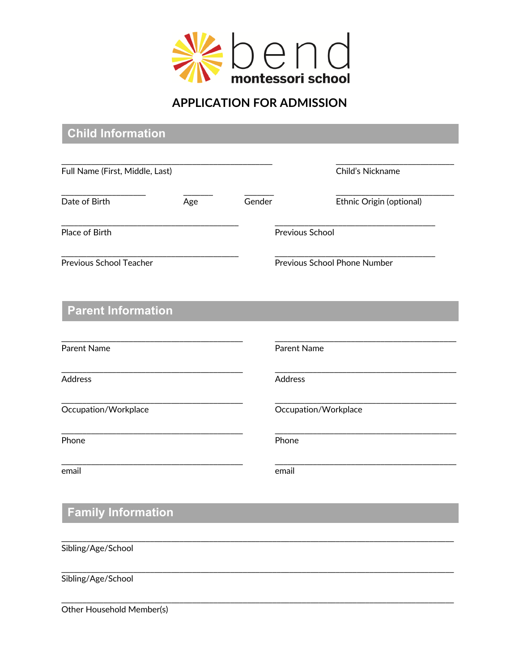

## **APPLICATION FOR ADMISSION**

| <b>Child Information</b>        |     |        |                              |
|---------------------------------|-----|--------|------------------------------|
|                                 |     |        |                              |
| Full Name (First, Middle, Last) |     |        | Child's Nickname             |
| Date of Birth                   | Age | Gender | Ethnic Origin (optional)     |
| Place of Birth                  |     |        | Previous School              |
| <b>Previous School Teacher</b>  |     |        | Previous School Phone Number |
| <b>Parent Information</b>       |     |        |                              |
| Parent Name                     |     |        | <b>Parent Name</b>           |
| Address                         |     |        | Address                      |
| Occupation/Workplace            |     |        | Occupation/Workplace         |
| Phone                           |     |        | Phone                        |
| email                           |     |        | email                        |
| <b>Family Information</b>       |     |        |                              |
| Sibling/Age/School              |     |        |                              |
| Sibling/Age/School              |     |        |                              |
|                                 |     |        |                              |

Other Household Member(s)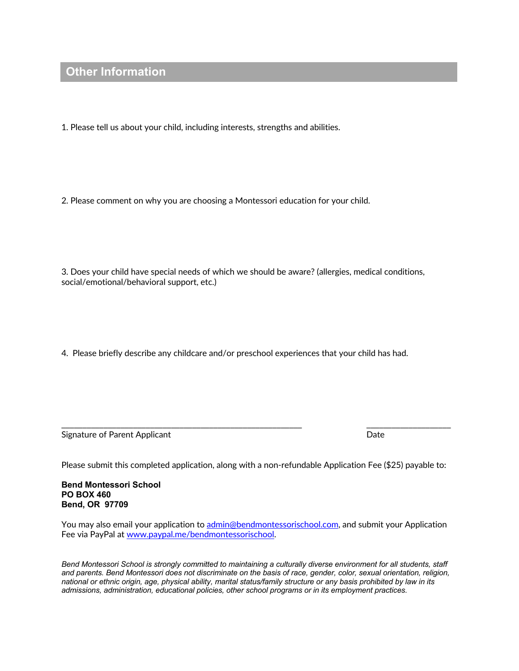### **Other Information**

1. Please tell us about your child, including interests, strengths and abilities.

2. Please comment on why you are choosing a Montessori education for your child.

3. Does your child have special needs of which we should be aware? (allergies, medical conditions, social/emotional/behavioral support, etc.)

4. Please briefly describe any childcare and/or preschool experiences that your child has had.

Signature of Parent Applicant Date Date of Parent Applicant Date Date Date Date Date

Please submit this completed application, along with a non-refundable Application Fee (\$25) payable to:

\_\_\_\_\_\_\_\_\_\_\_\_\_\_\_\_\_\_\_\_\_\_\_\_\_\_\_\_\_\_\_\_\_\_\_\_\_\_\_\_\_\_\_\_\_\_\_\_\_\_\_\_\_\_\_\_\_ \_\_\_\_\_\_\_\_\_\_\_\_\_\_\_\_\_\_\_\_

**Bend Montessori School PO BOX 460 Bend, OR 97709**

You may also email your application to admin@bendmontessorischool.com, and submit your Application Fee via PayPal at www.paypal.me/bendmontessorischool.

*Bend Montessori School is strongly committed to maintaining a culturally diverse environment for all students, staff and parents. Bend Montessori does not discriminate on the basis of race, gender, color, sexual orientation, religion, national or ethnic origin, age, physical ability, marital status/family structure or any basis prohibited by law in its admissions, administration, educational policies, other school programs or in its employment practices.*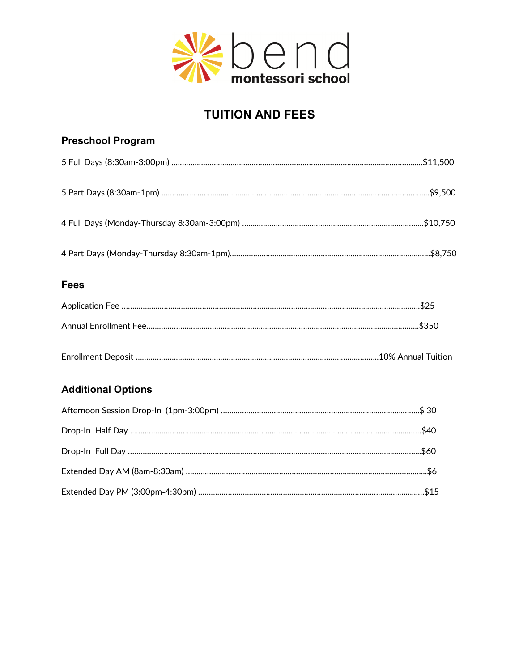

# **TUITION AND FEES**

# **Preschool Program**  5 Full Days (8:30am-3:00pm) .……………………..…………………………………………………………………………….....\$11,500 5 Part Days (8:30am-1pm) …………….…………...……………………………………………………………………...…………...\$9,500 4 Full Days (Monday-Thursday 8:30am-3:00pm) ……..……………………………………………………………..…….\$10,750 4 Part Days (Monday-Thursday 8:30am-1pm)…………………..……………………………………………….………...…..\$8,750 **Fees**  Application Fee ……………………………………………………………………………………………………..…………………….\$25 Annual Enrollment Fee……………………………………………………………………………………………….……..…….…..\$350 Enrollment Deposit …………………………….…………………………………………………………….………..10% Annual Tuition

### **Additional Options**